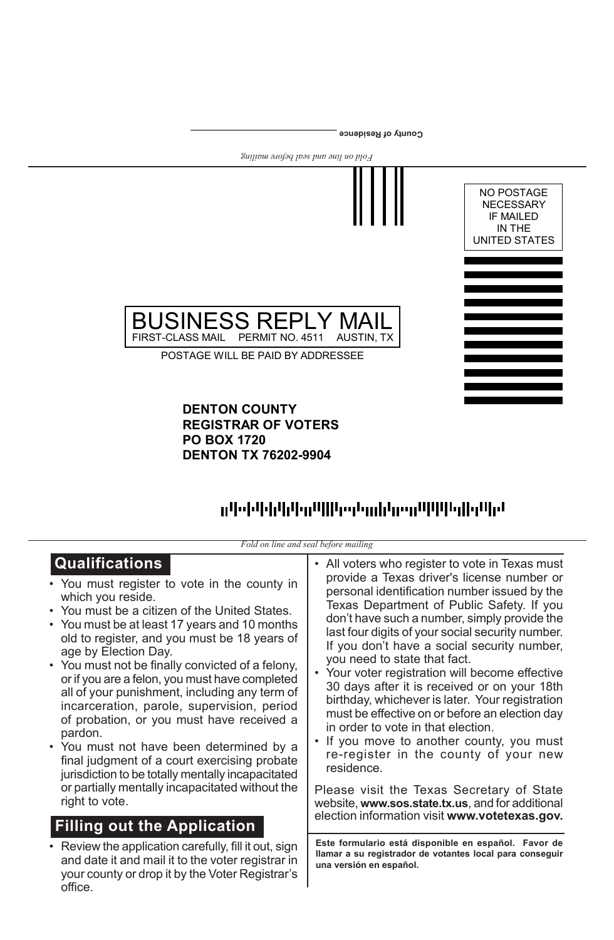

## ոկ (ինչկության կողմից) կարող երկրության կարող է այլ է այլ է այլ է այլ է այլ է այլ է այլ է այլ է այլ է այլ է այ

| Fold on line and seal before mailing                                                                                                                                                                                                                                                                                                                                                                                                                                                                                                                                                                                                                                                                                                                                                          |                                                                                                                                                                                                                                                                                                                                                                                                                                                                                                                                                                                                                                                                                                                                                                                                                                                                                   |  |  |  |  |  |  |  |
|-----------------------------------------------------------------------------------------------------------------------------------------------------------------------------------------------------------------------------------------------------------------------------------------------------------------------------------------------------------------------------------------------------------------------------------------------------------------------------------------------------------------------------------------------------------------------------------------------------------------------------------------------------------------------------------------------------------------------------------------------------------------------------------------------|-----------------------------------------------------------------------------------------------------------------------------------------------------------------------------------------------------------------------------------------------------------------------------------------------------------------------------------------------------------------------------------------------------------------------------------------------------------------------------------------------------------------------------------------------------------------------------------------------------------------------------------------------------------------------------------------------------------------------------------------------------------------------------------------------------------------------------------------------------------------------------------|--|--|--|--|--|--|--|
| <b>Qualifications</b><br>• You must register to vote in the county in<br>which you reside.<br>• You must be a citizen of the United States.<br>• You must be at least 17 years and 10 months<br>old to register, and you must be 18 years of<br>age by Election Day.<br>• You must not be finally convicted of a felony,<br>or if you are a felon, you must have completed<br>all of your punishment, including any term of<br>incarceration, parole, supervision, period<br>of probation, or you must have received a<br>pardon.<br>• You must not have been determined by a<br>final judgment of a court exercising probate<br>jurisdiction to be totally mentally incapacitated<br>or partially mentally incapacitated without the<br>right to vote.<br><b>Filling out the Application</b> | • All voters who register to vote in Texas must<br>provide a Texas driver's license number or<br>personal identification number issued by the<br>Texas Department of Public Safety. If you<br>don't have such a number, simply provide the<br>last four digits of your social security number.<br>If you don't have a social security number,<br>you need to state that fact.<br>• Your voter registration will become effective<br>30 days after it is received or on your 18th<br>birthday, whichever is later. Your registration<br>must be effective on or before an election day<br>in order to vote in that election.<br>• If you move to another county, you must<br>re-register in the county of your new<br>residence.<br>Please visit the Texas Secretary of State<br>website, www.sos.state.tx.us, and for additional<br>election information visit www.votetexas.gov. |  |  |  |  |  |  |  |
| • Review the application carefully, fill it out, sign<br>and date it and mail it to the voter registrar in<br>your county or drop it by the Voter Registrar's<br>office.                                                                                                                                                                                                                                                                                                                                                                                                                                                                                                                                                                                                                      | Este formulario está disponible en español. Favor de<br>llamar a su registrador de votantes local para conseguir<br>una versión en español.                                                                                                                                                                                                                                                                                                                                                                                                                                                                                                                                                                                                                                                                                                                                       |  |  |  |  |  |  |  |